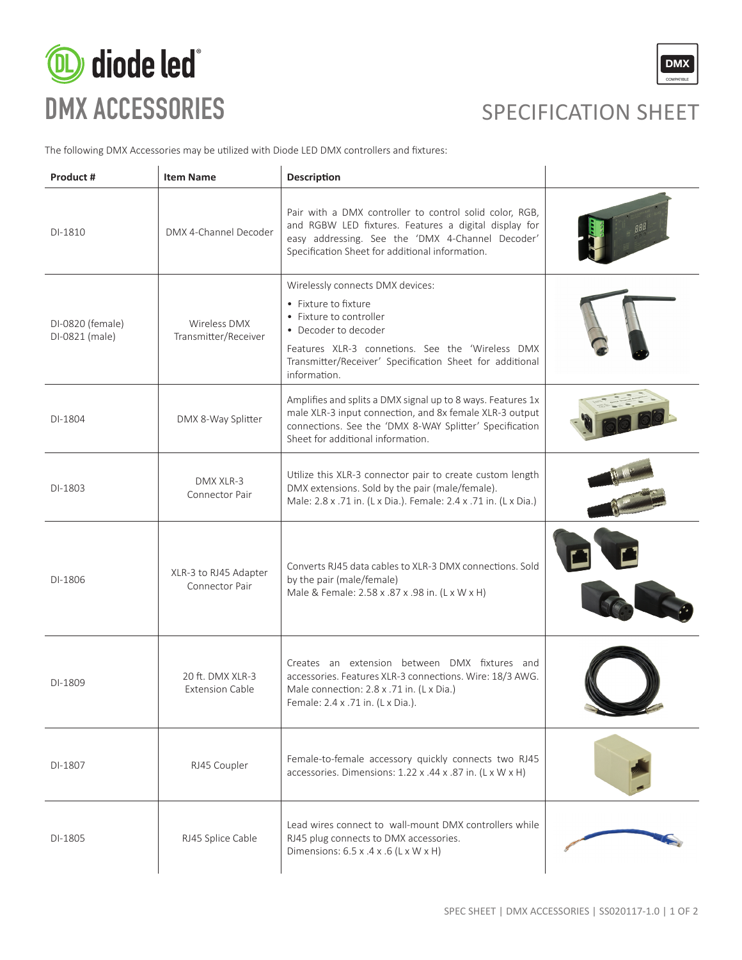



The following DMX Accessories may be utilized with Diode LED DMX controllers and fixtures:

| Product #                          | <b>Item Name</b>                           | <b>Description</b>                                                                                                                                                                                                                          |  |
|------------------------------------|--------------------------------------------|---------------------------------------------------------------------------------------------------------------------------------------------------------------------------------------------------------------------------------------------|--|
| DI-1810                            | DMX 4-Channel Decoder                      | Pair with a DMX controller to control solid color, RGB,<br>and RGBW LED fixtures. Features a digital display for<br>easy addressing. See the 'DMX 4-Channel Decoder'<br>Specification Sheet for additional information.                     |  |
| DI-0820 (female)<br>DI-0821 (male) | Wireless DMX<br>Transmitter/Receiver       | Wirelessly connects DMX devices:<br>• Fixture to fixture<br>• Fixture to controller<br>• Decoder to decoder<br>Features XLR-3 connetions. See the 'Wireless DMX<br>Transmitter/Receiver' Specification Sheet for additional<br>information. |  |
| DI-1804                            | DMX 8-Way Splitter                         | Amplifies and splits a DMX signal up to 8 ways. Features 1x<br>male XLR-3 input connection, and 8x female XLR-3 output<br>connections. See the 'DMX 8-WAY Splitter' Specification<br>Sheet for additional information.                      |  |
| DI-1803                            | DMX XLR-3<br>Connector Pair                | Utilize this XLR-3 connector pair to create custom length<br>DMX extensions. Sold by the pair (male/female).<br>Male: 2.8 x .71 in. (L x Dia.). Female: 2.4 x .71 in. (L x Dia.)                                                            |  |
| DI-1806                            | XLR-3 to RJ45 Adapter<br>Connector Pair    | Converts RJ45 data cables to XLR-3 DMX connections. Sold<br>by the pair (male/female)<br>Male & Female: 2.58 x .87 x .98 in. (L x W x H)                                                                                                    |  |
| DI-1809                            | 20 ft. DMX XLR-3<br><b>Extension Cable</b> | Creates an extension between DMX fixtures and<br>accessories. Features XLR-3 connections. Wire: 18/3 AWG.<br>Male connection: 2.8 x .71 in. (L x Dia.)<br>Female: 2.4 x .71 in. (L x Dia.).                                                 |  |
| DI-1807                            | RJ45 Coupler                               | Female-to-female accessory quickly connects two RJ45<br>accessories. Dimensions: 1.22 x .44 x .87 in. (L x W x H)                                                                                                                           |  |
| DI-1805                            | RJ45 Splice Cable                          | Lead wires connect to wall-mount DMX controllers while<br>RJ45 plug connects to DMX accessories.<br>Dimensions: 6.5 x .4 x .6 (L x W x H)                                                                                                   |  |